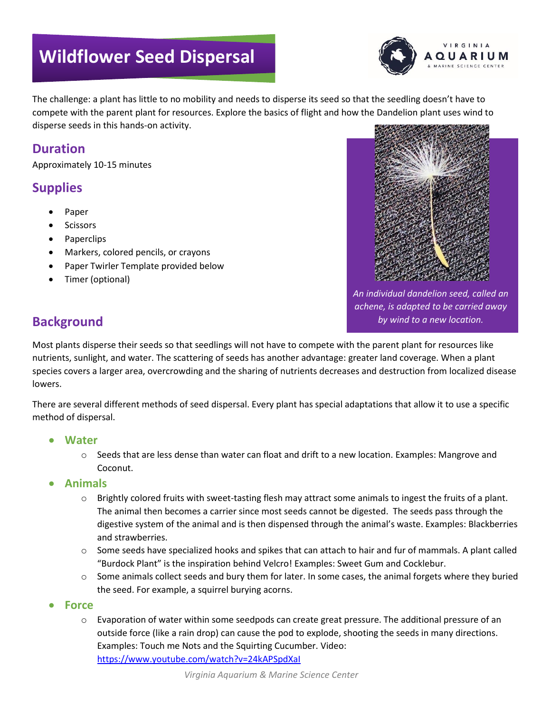# **Wildflower Seed Dispersal**



The challenge: a plant has little to no mobility and needs to disperse its seed so that the seedling doesn't have to compete with the parent plant for resources. Explore the basics of flight and how the Dandelion plant uses wind to disperse seeds in this hands-on activity.

### **Duration**

Approximately 10-15 minutes

### **Supplies**

- Paper
- **Scissors**
- Paperclips
- Markers, colored pencils, or crayons
- Paper Twirler Template provided below
- Timer (optional)



*An individual dandelion seed, called an achene, is adapted to be carried away by wind to a new location.*

### **Background**

Most plants disperse their seeds so that seedlings will not have to compete with the parent plant for resources like nutrients, sunlight, and water. The scattering of seeds has another advantage: greater land coverage. When a plant species covers a larger area, overcrowding and the sharing of nutrients decreases and destruction from localized disease lowers.

There are several different methods of seed dispersal. Every plant has special adaptations that allow it to use a specific method of dispersal.

- **Water**
	- $\circ$  Seeds that are less dense than water can float and drift to a new location. Examples: Mangrove and Coconut.

#### • **Animals**

- o Brightly colored fruits with sweet-tasting flesh may attract some animals to ingest the fruits of a plant. The animal then becomes a carrier since most seeds cannot be digested. The seeds pass through the digestive system of the animal and is then dispensed through the animal's waste. Examples: Blackberries and strawberries.
- $\circ$  Some seeds have specialized hooks and spikes that can attach to hair and fur of mammals. A plant called "Burdock Plant" is the inspiration behind Velcro! Examples: Sweet Gum and Cocklebur.
- $\circ$  Some animals collect seeds and bury them for later. In some cases, the animal forgets where they buried the seed. For example, a squirrel burying acorns.
- **Force**
	- $\circ$  Evaporation of water within some seedpods can create great pressure. The additional pressure of an outside force (like a rain drop) can cause the pod to explode, shooting the seeds in many directions. Examples: Touch me Nots and the Squirting Cucumber. Video: <https://www.youtube.com/watch?v=24kAPSpdXaI>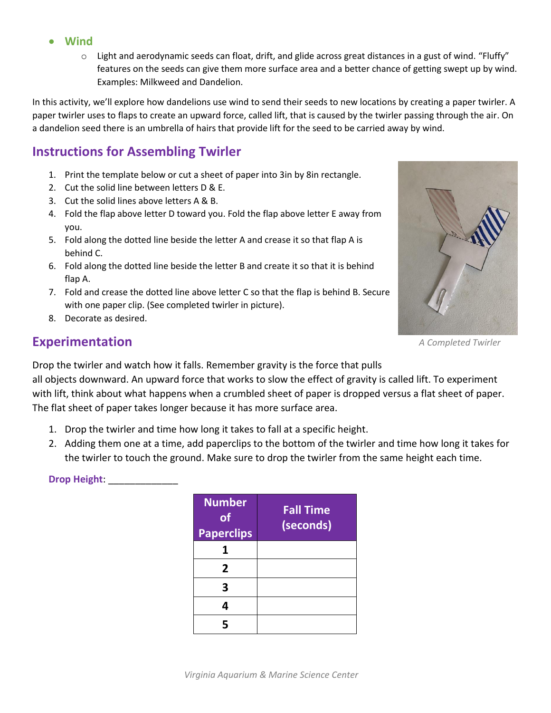- **Wind**
	- $\circ$  Light and aerodynamic seeds can float, drift, and glide across great distances in a gust of wind. "Fluffy" features on the seeds can give them more surface area and a better chance of getting swept up by wind. Examples: Milkweed and Dandelion.

In this activity, we'll explore how dandelions use wind to send their seeds to new locations by creating a paper twirler. A paper twirler uses to flaps to create an upward force, called lift, that is caused by the twirler passing through the air. On a dandelion seed there is an umbrella of hairs that provide lift for the seed to be carried away by wind.

### **Instructions for Assembling Twirler**

- 1. Print the template below or cut a sheet of paper into 3in by 8in rectangle.
- 2. Cut the solid line between letters D & E.
- 3. Cut the solid lines above letters A & B.
- 4. Fold the flap above letter D toward you. Fold the flap above letter E away from you.
- 5. Fold along the dotted line beside the letter A and crease it so that flap A is behind C.
- 6. Fold along the dotted line beside the letter B and create it so that it is behind flap A.
- 7. Fold and crease the dotted line above letter C so that the flap is behind B. Secure with one paper clip. (See completed twirler in picture).
- 8. Decorate as desired.

### **Experimentation**



*A Completed Twirler*

Drop the twirler and watch how it falls. Remember gravity is the force that pulls all objects downward. An upward force that works to slow the effect of gravity is called lift. To experiment

with lift, think about what happens when a crumbled sheet of paper is dropped versus a flat sheet of paper. The flat sheet of paper takes longer because it has more surface area.

- 1. Drop the twirler and time how long it takes to fall at a specific height.
- 2. Adding them one at a time, add paperclips to the bottom of the twirler and time how long it takes for the twirler to touch the ground. Make sure to drop the twirler from the same height each time.

**Drop Height:**  $\blacksquare$ 

| <b>Number</b><br><b>of</b><br><b>Paperclips</b> | <b>Fall Time</b><br>(seconds) |
|-------------------------------------------------|-------------------------------|
| 1                                               |                               |
| 2                                               |                               |
| З                                               |                               |
| 4                                               |                               |
| 5                                               |                               |